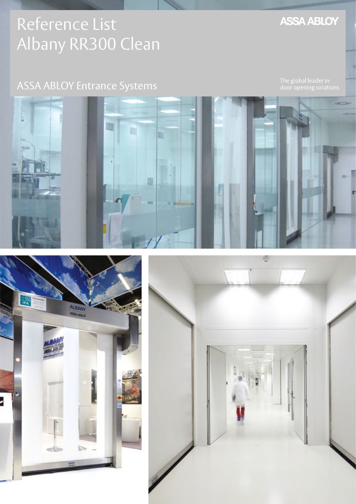## Reference List Albany RR300 Clean

## ASSA ABLOY Entrance Systems

The global leader in<br>door opening solutions







愚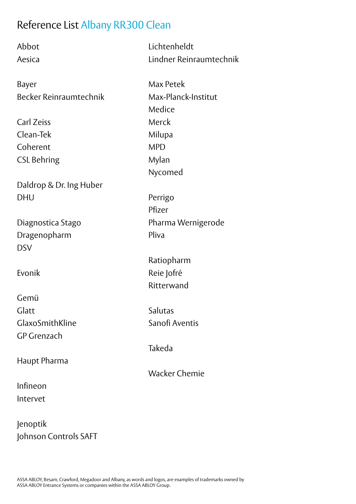## Reference List Albany RR300 Clean

| Abbot                   | Lichtenheldt            |
|-------------------------|-------------------------|
| Aesica                  | Lindner Reinraumtechnik |
| Bayer                   | Max Petek               |
| Becker Reinraumtechnik  | Max-Planck-Institut     |
|                         | Medice                  |
| Carl Zeiss              | Merck                   |
| Clean-Tek               | Milupa                  |
| Coherent                | <b>MPD</b>              |
| <b>CSL Behring</b>      | Mylan                   |
|                         | Nycomed                 |
| Daldrop & Dr. Ing Huber |                         |
| <b>DHU</b>              | Perrigo                 |
|                         | Pfizer                  |
| Diagnostica Stago       | Pharma Wernigerode      |
| Dragenopharm            | Pliva                   |
| <b>DSV</b>              |                         |
|                         | Ratiopharm              |
| Evonik                  | Reie Jofré              |
|                         | Ritterwand              |
| Gemü                    |                         |
| Glatt                   | Salutas                 |
| GlaxoSmithKline         | Sanofi Aventis          |
| <b>GP Grenzach</b>      |                         |
|                         | Takeda                  |
| Haupt Pharma            |                         |
|                         | <b>Wacker Chemie</b>    |
| Infineon                |                         |
| Intervet                |                         |
|                         |                         |

Jenoptik Johnson Controls SAFT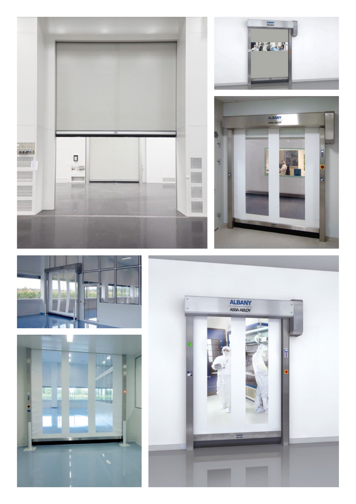